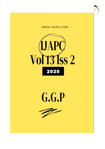





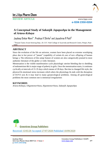

REVIEW ARTICLE www.ijapc.com

**e-ISSN 2350-0204**

# **A Conceptual Study of** *Sakanjik Japapushpa* **in the Management of** *Artava***-***Kshaya*

Jaydeep Dinkar More<sup>1\*</sup>, Pradnya V Shirke<sup>2</sup> and Jayashree R Patil<sup>3</sup>

1-3Prasuti-Tantra Avum Streerog Dept., Dr. D.Y. Patil College of Ayurveda and Research Centre, Pimpri, Pune India

# **ABSTRACT**

Since the evolution of the life on universe, women have been placed on extreme worshiping place due to her power of "janani" (capability of certain & care of new offspring of human beings ), The references of this uniqe feature of women are also categorically praised in most authentic literature of the globe i.e vedic literature.

Menstruation is the visible manifestation cycle physiologic uterine bleeding due to shedding of endometrium &it is major stage of puberty in girls. Once the menstruation starts, it continues cyclically at intervals of 21-35 days which means of 28 days. But due to changed life style, the physical & emotional stress increases which alters the physiology & ends with the disruption of H-P-O axis & it may lead to many gynaecological problems. Among all gynecological problems the most common one is menstrual irregularities

 $\overline{\phantom{a}}$  , and the contribution of the contribution of the contribution of the contribution of the contribution of the contribution of the contribution of the contribution of the contribution of the contribution of the

## **KEYWORDS**

*Artava-Kshaya, Oligomenorrhoea, Hypomenorrhoea, Sakanjik Japapushpa*

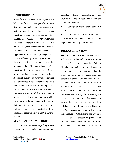

### **INTRODUCTION**

Now a days 30% women in their reproductive life suffer from irregular periods. Acharya Sushruta has explained about Artava-kshaya<sup>1</sup> features specially as delayed & scanty menstruation associated with pain in vagina. YATHOCHITKALE ADARSHNAM "(delayed menstruation) & ALPA ARTAVA<sup>4</sup> "(scanty menstruation)". It can be correlated to Oligomenorrhoea<sup>2</sup> & Hypomenorrhoea by their signs & symptoms. Menstrual bleeding occurring more than 35 days apart which remains constant at that frequency is Oligomenorrhoea. When menstrual bleeding is unduly scanty & lasts for less than 2 day is called Hypomenorrhoea. A critical survey of Ayurvedic literature specially related to its pharmacocopiea revels that compound formulation and single drug are very much indicated for the treatment of artava-kshaya. Out of all those medicaments we have selected few medicinal herbs which are suppose to the artavajanan effect due to their specific rasa, guna, virya, vipak and prabhav. This is the conceptual study of formulated sakanjik japapushpa<sup>3</sup> in Artavakshaya

### **MATERIAL AND METHODS**

 All the references regarding artavakshaya, and sakanjik japapushpa are

 $\mathcal{L}_\mathcal{L}$  , and the set of the set of the set of the set of the set of the set of the set of the set of the set of the set of the set of the set of the set of the set of the set of the set of the set of the set of th

collected from Laghuttrayee and Bruhattrayee and various text books and compilation is done.

 Concept of artava-kshaya studied in details.

 Collection of all the references is done and correlation between the data is done logically i.e. by using yukti Praman

# **DISEASE REVIEW**

The present study deals with Artavakshaya as a disease (Vyadhi) and not as a symptom (Lakshana). In this connection Acharya Charaka has explained about the diagnosis of the disease, he has mentioned that the symptoms of a disease themselves also constitute a disease. But sometimes because of their subordinate nature, they are only symptoms and not the disease. (Ch. Ni. 1/6, Su.Su. 31/4). We have considered "Artavakshaya" as a Vyadhi because Vyadhi is an aggregate of Lakshana. In 'Artavakshaya' the aggregate of these Lakshans (cardinal symptom)<sup>5</sup>. Constitute the Artavakshaya as a Vyadhi. The second thing in favor of Artavakshaya as a Vyadhi is that the disease process is produced by "Nidana Sevena, Khavaigunya, Srotorodha and Dosha Dushya dusti and interaction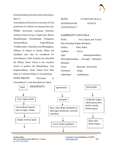

(Sammurchhana) between Dosh and Dushya. Here in

Artavakshaya all the factors necessary for the production of a disease are playing their part. Nidan- Ativyayam, Anashana, Atichinta, Asatmya Ahara Sevana, Atapsevana, Bhaya, Manahsantapa, Atimadirapan, Prajagaran, Atisamsodhana, Vegavidharana, Vriddhavastha, Adanakala and Bhutopghata. Nidanas of kshaya of Dosha, Dhatu and Upadhatu may also be considered for Artavakshaya, while Sushruta has described the Mithya Ahara Vihara is the causative factors to produce the Dhatukshaya, Vata Kaphavardhaka, Ahara Vihara have been taken as Vishesha Nidana of Artavakshaya

PURVARUPA: Purvarupa of Artavakshaya<sup>6</sup> is not described any where

RUPA : YATHOCHITAKALA ADARSHANAM : ALPATA : YONIVEDANA<sup>11</sup>

#### SAMPRAPTI GHATAKA :

| Dosha                                  |                | Vata (Apana and Vyana)        |
|----------------------------------------|----------------|-------------------------------|
| Pitta (Pachaka) Kapha (Kledaka)        |                |                               |
|                                        |                | Dushya : Rasa, Rakta          |
| Updhatu : Artava                       |                |                               |
| Agni                                   |                | Jatharagnimandhya;<br>$10000$ |
| Dhatvagnimandhya, Artavagni (Sthanika) |                |                               |
| Mandhya                                |                |                               |
| <b>Srotas</b>                          | $\mathbb{R}^n$ | Rasavaha, Artavavaha          |
| Srotodusti :                           |                | Sanga                         |
| Adhisthana :                           |                | Garbhashaya                   |



**Jaydeep More Greentree Group Publishers © IJAPC Int J Ayu Pharm Chem 2020 Vol. 13 Issue 2 [www.ijapc.com](about:blank) 279 [e ISSN 2350-0204]**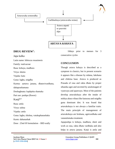

 $\mathcal{L}_\mathcal{L}$  , and the set of the set of the set of the set of the set of the set of the set of the set of the set of the set of the set of the set of the set of the set of the set of the set of the set of the set of th

### **DRUG REVIEW<sup>7</sup> :**

#### Japa kalka

Latin name: hibiscus rosasinesis

Family: malvaceae

Rasa: kshaya, madhura

Virya: sheeta

Vipaka: katu

Guna: laghu, snigdha

Karma: aartava janana, dhatuvivardhana,

dahaprashamana

Doshaghnata: kaphpitta shamaka

Part use: pushpa (flower)

Kanii<sup>8,9</sup>

Rasa: amla

Virya: ushna

Vipaka: amla

Guna: laghu, tikshna, vatakaphanashaka

Karm: dahanashak

Dose : 25ml 0f formulation – BID orally

 10days prior to menses for 3 consecutive cycles

# **CONCLUSION**

Though artava kshaya is described as a symptom in classics, but in present scenario it appears like a disease by nidana, lakshana and chikitsa base. Artava is produced as Prasada of rasa and rakta dhatu by proper sthanika agni and secreted by anulomagati of vyanvayu and apanvayu. Most of the patients develop artavakshaya after the intake of mithya ahara vihara like katurasa and snigdha guna dominant diet. It was found that artavakshaya is not always a familiar traits. The main principle of management of artavakshaya are bruhana, agnivardhaka and vatanulomaka treatment.

Japapushpa is kshaya, madhura, sheet and work as rasa, rakta dhatu vardhaka and also helps in artava janana. Kanji is amla and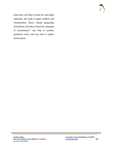

ushna thus will help to break the vata kapha samprapti, also leads to agani vardhana and vatanulomana. Hence sakanji japapushpa formulation will help to break the samprapti of artavakshaya<sup>12</sup> and help to produce qualitative artava and may lead to regular menstruation.

 $\mathcal{L}_\mathcal{L}$  , and the set of the set of the set of the set of the set of the set of the set of the set of the set of the set of the set of the set of the set of the set of the set of the set of the set of the set of th